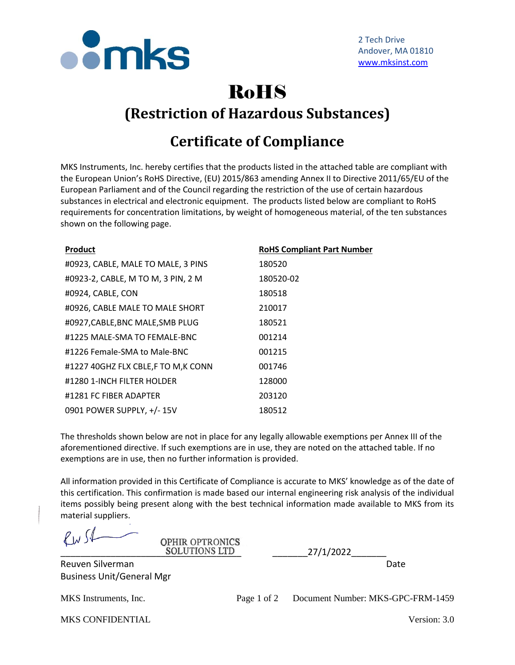

## RoHS **(Restriction of Hazardous Substances)**

## **Certificate of Compliance**

MKS Instruments, Inc. hereby certifies that the products listed in the attached table are compliant with the European Union's RoHS Directive, (EU) 2015/863 amending Annex II to Directive 2011/65/EU of the European Parliament and of the Council regarding the restriction of the use of certain hazardous substances in electrical and electronic equipment. The products listed below are compliant to RoHS requirements for concentration limitations, by weight of homogeneous material, of the ten substances shown on the following page.

| Product                            | <b>RoHS Compliant Part Number</b> |
|------------------------------------|-----------------------------------|
| #0923, CABLE, MALE TO MALE, 3 PINS | 180520                            |
| #0923-2, CABLE, M TO M, 3 PIN, 2 M | 180520-02                         |
| #0924, CABLE, CON                  | 180518                            |
| #0926, CABLE MALE TO MALE SHORT    | 210017                            |
| #0927, CABLE, BNC MALE, SMB PLUG   | 180521                            |
| #1225 MALE-SMA TO FEMALE-BNC       | 001214                            |
| #1226 Female-SMA to Male-BNC       | 001215                            |
| #1227 40GHZ FLX CBLE,F TO M,K CONN | 001746                            |
| #1280 1-INCH FILTER HOLDER         | 128000                            |
| #1281 FC FIBER ADAPTER             | 203120                            |
| 0901 POWER SUPPLY, +/- 15V         | 180512                            |

**OPHIR OPTRONICS** 

The thresholds shown below are not in place for any legally allowable exemptions per Annex III of the aforementioned directive. If such exemptions are in use, they are noted on the attached table. If no exemptions are in use, then no further information is provided.

All information provided in this Certificate of Compliance is accurate to MKS' knowledge as of the date of this certification. This confirmation is made based our internal engineering risk analysis of the individual items possibly being present along with the best technical information made available to MKS from its material suppliers.

RW SI

Reuven Silverman Date by the United States of the United States and Date of the United States of the United States of the United States of the United States of the United States of the United States of the United States of Business Unit/General Mgr

SOLUTIONS LTD 27/1/2022

MKS Instruments, Inc. Page 1 of 2 Document Number: MKS-GPC-FRM-1459

| <b>MKS CONFIDENTIAL</b> | Version: 3.0 |
|-------------------------|--------------|
|-------------------------|--------------|